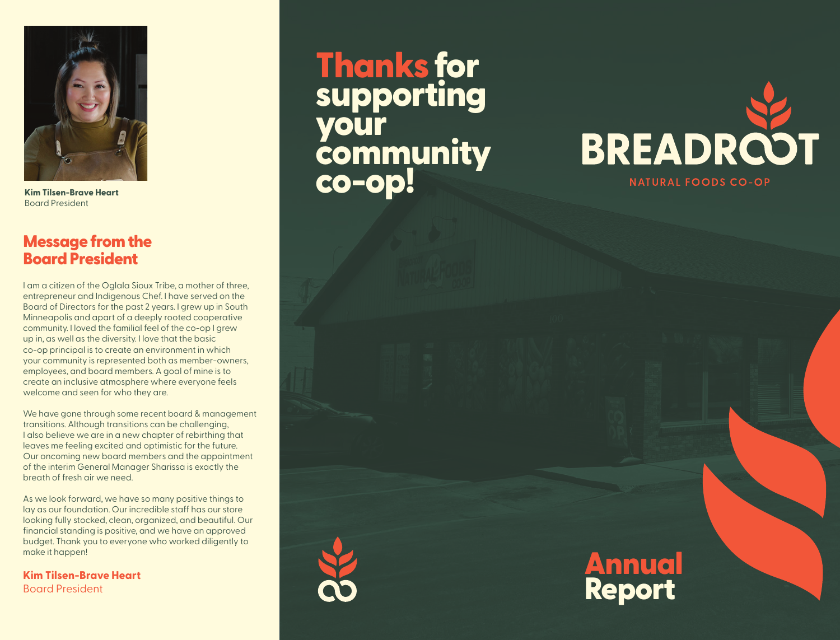

**Kim Tilsen-Brave Heart** Board President

## Message from the Board President

I am a citizen of the Oglala Sioux Tribe, a mother of three, entrepreneur and Indigenous Chef. I have served on the Board of Directors for the past 2 years. I grew up in South Minneapolis and apart of a deeply rooted cooperative community. I loved the familial feel of the co-op I grew up in, as well as the diversity. I love that the basic co-op principal is to create an environment in which your community is represented both as member-owners, employees, and board members. A goal of mine is to create an inclusive atmosphere where everyone feels welcome and seen for who they are.

We have gone through some recent board & management transitions. Although transitions can be challenging, I also believe we are in a new chapter of rebirthing that leaves me feeling excited and optimistic for the future. Our oncoming new board members and the appointment of the interim General Manager Sharissa is exactly the breath of fresh air we need.

As we look forward, we have so many positive things to lay as our foundation. Our incredible staff has our store looking fully stocked, clean, organized, and beautiful. Our financial standing is positive, and we have an approved budget. Thank you to everyone who worked diligently to make it happen!

**Kim Tilsen-Brave Heart** Board President

# Thanks for supporting your community co-op!





Annual Report